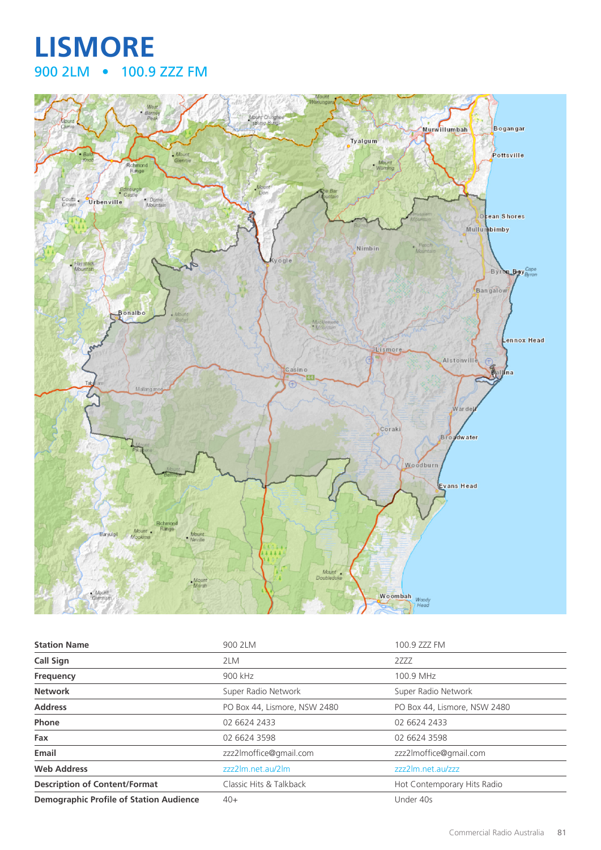## **LISMORE** 900 2LM • 100.9 ZZZ FM



| <b>Station Name</b>                            | 900 2LM                      | 100.9 ZZZ FM                 |
|------------------------------------------------|------------------------------|------------------------------|
| Call Sign                                      | 2LM                          | 2ZZZ                         |
| Frequency                                      | 900 kHz                      | 100.9 MHz                    |
| <b>Network</b>                                 | Super Radio Network          | Super Radio Network          |
| <b>Address</b>                                 | PO Box 44, Lismore, NSW 2480 | PO Box 44, Lismore, NSW 2480 |
| <b>Phone</b>                                   | 02 6624 2433                 | 02 6624 2433                 |
| Fax                                            | 02 6624 3598                 | 02 6624 3598                 |
| Email                                          | zzz2lmoffice@gmail.com       | zzz2lmoffice@gmail.com       |
| <b>Web Address</b>                             | zzz2lm.net.au/2lm            | zzz2lm.net.au/zzz            |
| <b>Description of Content/Format</b>           | Classic Hits & Talkback      | Hot Contemporary Hits Radio  |
| <b>Demographic Profile of Station Audience</b> | $40+$                        | Under 40s                    |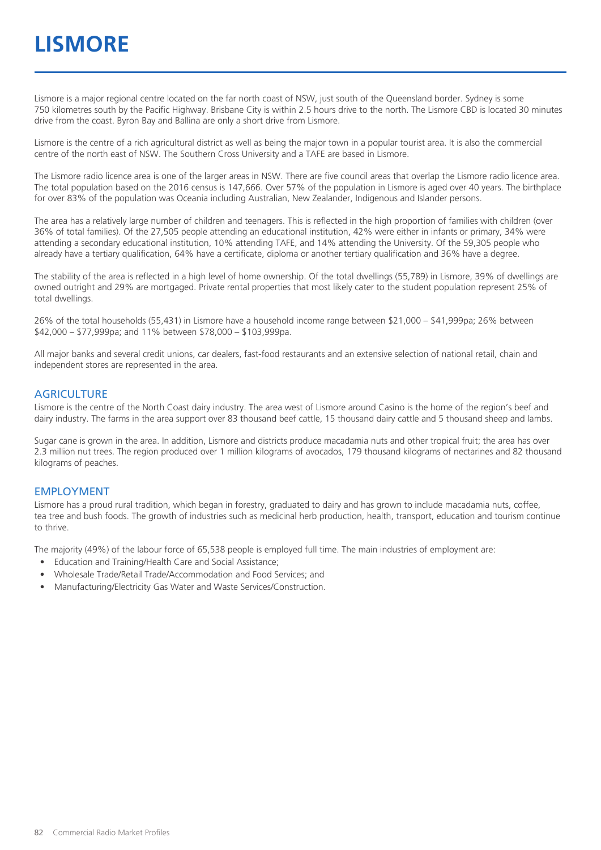## **LISMORE**

Lismore is a major regional centre located on the far north coast of NSW, just south of the Queensland border. Sydney is some 750 kilometres south by the Pacific Highway. Brisbane City is within 2.5 hours drive to the north. The Lismore CBD is located 30 minutes drive from the coast. Byron Bay and Ballina are only a short drive from Lismore.

Lismore is the centre of a rich agricultural district as well as being the major town in a popular tourist area. It is also the commercial centre of the north east of NSW. The Southern Cross University and a TAFE are based in Lismore.

The Lismore radio licence area is one of the larger areas in NSW. There are five council areas that overlap the Lismore radio licence area. The total population based on the 2016 census is 147,666. Over 57% of the population in Lismore is aged over 40 years. The birthplace for over 83% of the population was Oceania including Australian, New Zealander, Indigenous and Islander persons.

The area has a relatively large number of children and teenagers. This is reflected in the high proportion of families with children (over 36% of total families). Of the 27,505 people attending an educational institution, 42% were either in infants or primary, 34% were attending a secondary educational institution, 10% attending TAFE, and 14% attending the University. Of the 59,305 people who already have a tertiary qualification, 64% have a certificate, diploma or another tertiary qualification and 36% have a degree.

The stability of the area is reflected in a high level of home ownership. Of the total dwellings (55,789) in Lismore, 39% of dwellings are owned outright and 29% are mortgaged. Private rental properties that most likely cater to the student population represent 25% of total dwellings.

26% of the total households (55,431) in Lismore have a household income range between \$21,000 – \$41,999pa; 26% between \$42,000 – \$77,999pa; and 11% between \$78,000 – \$103,999pa.

All major banks and several credit unions, car dealers, fast-food restaurants and an extensive selection of national retail, chain and independent stores are represented in the area.

#### **AGRICULTURE**

Lismore is the centre of the North Coast dairy industry. The area west of Lismore around Casino is the home of the region's beef and dairy industry. The farms in the area support over 83 thousand beef cattle, 15 thousand dairy cattle and 5 thousand sheep and lambs.

Sugar cane is grown in the area. In addition, Lismore and districts produce macadamia nuts and other tropical fruit; the area has over 2.3 million nut trees. The region produced over 1 million kilograms of avocados, 179 thousand kilograms of nectarines and 82 thousand kilograms of peaches.

#### EMPLOYMENT

Lismore has a proud rural tradition, which began in forestry, graduated to dairy and has grown to include macadamia nuts, coffee, tea tree and bush foods. The growth of industries such as medicinal herb production, health, transport, education and tourism continue to thrive.

The majority (49%) of the labour force of 65,538 people is employed full time. The main industries of employment are:

- Education and Training/Health Care and Social Assistance;
- Wholesale Trade/Retail Trade/Accommodation and Food Services; and
- Manufacturing/Electricity Gas Water and Waste Services/Construction.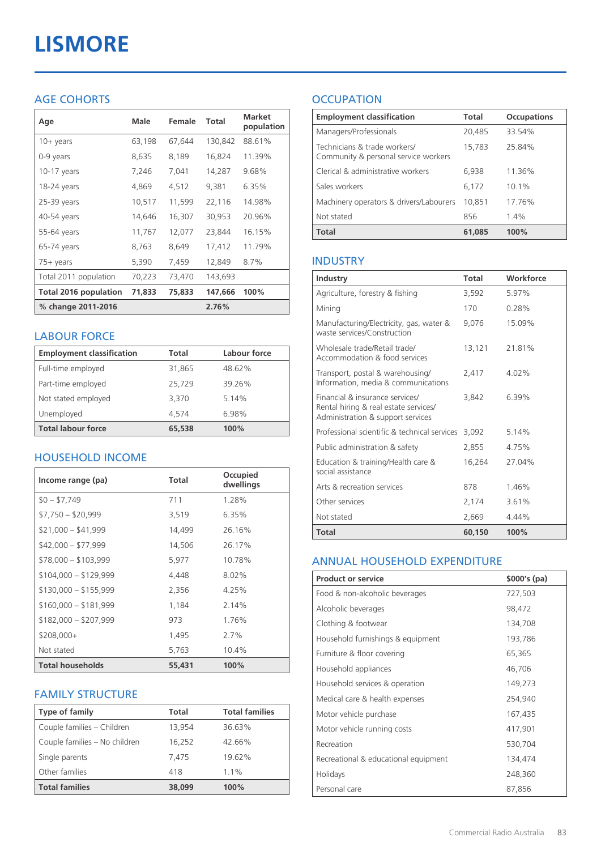# **LISMORE**

### AGE COHORTS

| Age                   | <b>Male</b> | Female | Total   | <b>Market</b><br>population |
|-----------------------|-------------|--------|---------|-----------------------------|
| $10 + \gamma$ ears    | 63,198      | 67,644 | 130,842 | 88.61%                      |
| 0-9 years             | 8,635       | 8,189  | 16,824  | 11.39%                      |
| $10-17$ years         | 7,246       | 7,041  | 14,287  | 9.68%                       |
| 18-24 years           | 4,869       | 4,512  | 9,381   | 6.35%                       |
| 25-39 years           | 10,517      | 11,599 | 22,116  | 14.98%                      |
| 40-54 years           | 14,646      | 16,307 | 30,953  | 20.96%                      |
| 55-64 years           | 11,767      | 12,077 | 23,844  | 16.15%                      |
| 65-74 years           | 8,763       | 8,649  | 17,412  | 11.79%                      |
| 75+ years             | 5,390       | 7,459  | 12,849  | 8.7%                        |
| Total 2011 population | 70,223      | 73,470 | 143,693 |                             |
| Total 2016 population | 71,833      | 75,833 | 147,666 | 100%                        |
| % change 2011-2016    |             |        | 2.76%   |                             |

#### LABOUR FORCE

| <b>Employment classification</b> | Total  | Labour force |
|----------------------------------|--------|--------------|
| Full-time employed               | 31,865 | 48.62%       |
| Part-time employed               | 25,729 | 39.26%       |
| Not stated employed              | 3.370  | 5.14%        |
| Unemployed                       | 4.574  | 6.98%        |
| <b>Total labour force</b>        | 65,538 | 100%         |

#### HOUSEHOLD INCOME

| Income range (pa)       | <b>Total</b> | Occupied<br>dwellings |
|-------------------------|--------------|-----------------------|
| $$0 - $7,749$           | 711          | 1.28%                 |
| $$7,750 - $20,999$      | 3,519        | 6.35%                 |
| $$21,000 - $41,999$     | 14,499       | 26.16%                |
| $$42,000 - $77,999$     | 14,506       | 26.17%                |
| $$78,000 - $103,999$    | 5,977        | 10.78%                |
| $$104,000 - $129,999$   | 4,448        | $8.02\%$              |
| $$130,000 - $155,999$   | 2,356        | 4.25%                 |
| $$160,000 - $181,999$   | 1,184        | 2.14%                 |
| $$182,000 - $207,999$   | 973          | 1.76%                 |
| $$208,000+$             | 1,495        | 2.7%                  |
| Not stated              | 5,763        | 10.4%                 |
| <b>Total households</b> | 55,431       | 100%                  |

#### FAMILY STRUCTURE

| <b>Type of family</b>         | <b>Total</b> | <b>Total families</b> |
|-------------------------------|--------------|-----------------------|
| Couple families - Children    | 13,954       | 36.63%                |
| Couple families - No children | 16.252       | 42.66%                |
| Single parents                | 7.475        | 19.62%                |
| Other families                | 418          | $1.1\%$               |
| <b>Total families</b>         | 38,099       | 100%                  |

### **OCCUPATION**

| <b>Employment classification</b>                                     | <b>Total</b> | <b>Occupations</b> |
|----------------------------------------------------------------------|--------------|--------------------|
| Managers/Professionals                                               | 20,485       | 33.54%             |
| Technicians & trade workers/<br>Community & personal service workers | 15,783       | 25.84%             |
| Clerical & administrative workers                                    | 6,938        | 11.36%             |
| Sales workers                                                        | 6,172        | 10.1%              |
| Machinery operators & drivers/Labourers                              | 10,851       | 17.76%             |
| Not stated                                                           | 856          | $1.4\%$            |
| Total                                                                | 61,085       | 100%               |

#### INDUSTRY

| Industry                                                                                                      | Total  | Workforce |
|---------------------------------------------------------------------------------------------------------------|--------|-----------|
| Agriculture, forestry & fishing                                                                               | 3,592  | 5.97%     |
| Mining                                                                                                        | 170    | 0.28%     |
| Manufacturing/Electricity, gas, water &<br>waste services/Construction                                        | 9,076  | 15.09%    |
| Wholesale trade/Retail trade/<br>Accommodation & food services                                                | 13,121 | 21.81%    |
| Transport, postal & warehousing/<br>Information, media & communications                                       | 2,417  | 4.02%     |
| Financial & insurance services/<br>Rental hiring & real estate services/<br>Administration & support services | 3.842  | 6.39%     |
| Professional scientific & technical services                                                                  | 3.092  | 5.14%     |
| Public administration & safety                                                                                | 2,855  | 4.75%     |
| Education & training/Health care &<br>social assistance                                                       | 16,264 | 27.04%    |
| Arts & recreation services                                                                                    | 878    | 1.46%     |
| Other services                                                                                                | 2,174  | 3.61%     |
| Not stated                                                                                                    | 2,669  | $4.44\%$  |
| Total                                                                                                         | 60,150 | 100%      |

#### ANNUAL HOUSEHOLD EXPENDITURE

| <b>Product or service</b>            | $$000's$ (pa) |
|--------------------------------------|---------------|
| Food & non-alcoholic beverages       | 727,503       |
| Alcoholic beverages                  | 98,472        |
| Clothing & footwear                  | 134,708       |
| Household furnishings & equipment    | 193,786       |
| Furniture & floor covering           | 65,365        |
| Household appliances                 | 46,706        |
| Household services & operation       | 149,273       |
| Medical care & health expenses       | 254,940       |
| Motor vehicle purchase               | 167,435       |
| Motor vehicle running costs          | 417,901       |
| Recreation                           | 530,704       |
| Recreational & educational equipment | 134,474       |
| Holidays                             | 248,360       |
| Personal care                        | 87,856        |